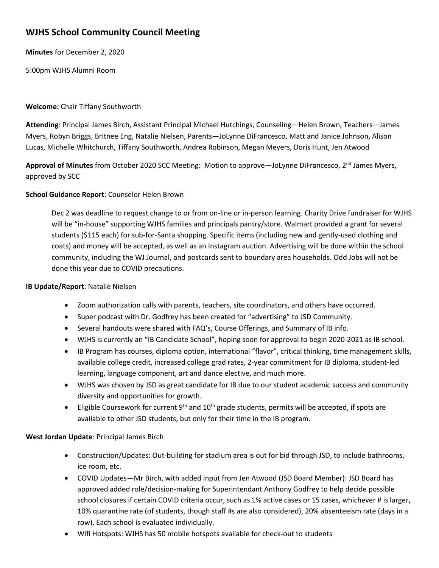# **WJHS School Community Council Meeting**

**Minutes** for December 2, 2020

5:00pm WJHS Alumni Room

## **Welcome:** Chair Tiffany Southworth

**Attending**: Principal James Birch, Assistant Principal Michael Hutchings, Counseling—Helen Brown, Teachers—James Myers, Robyn Briggs, Britnee Eng, Natalie Nielsen, Parents—JoLynne DiFrancesco, Matt and Janice Johnson, Alison Lucas, Michelle Whitchurch, Tiffany Southworth, Andrea Robinson, Megan Meyers, Doris Hunt, Jen Atwood

Approval of Minutes from October 2020 SCC Meeting: Motion to approve—JoLynne DiFrancesco, 2<sup>nd</sup> James Myers, approved by SCC

## **School Guidance Report**: Counselor Helen Brown

Dec 2 was deadline to request change to or from on-line or in-person learning. Charity Drive fundraiser for WJHS will be "in-house" supporting WJHS families and principals pantry/store. Walmart provided a grant for several students (\$115 each) for sub-for-Santa shopping. Specific items (including new and gently-used clothing and coats) and money will be accepted, as well as an Instagram auction. Advertising will be done within the school community, including the WJ Journal, and postcards sent to boundary area households. Odd Jobs will not be done this year due to COVID precautions.

### **IB Update/Report**: Natalie Nielsen

- Zoom authorization calls with parents, teachers, site coordinators, and others have occurred.
- Super podcast with Dr. Godfrey has been created for "advertising" to JSD Community.
- Several handouts were shared with FAQ's, Course Offerings, and Summary of IB info.
- WJHS is currently an "IB Candidate School", hoping soon for approval to begin 2020-2021 as IB school.
- IB Program has courses, diploma option, international "flavor", critical thinking, time management skills, available college credit, increased college grad rates, 2-year commitment for IB diploma, student-led learning, language component, art and dance elective, and much more.
- WJHS was chosen by JSD as great candidate for IB due to our student academic success and community diversity and opportunities for growth.
- Eligible Coursework for current  $9<sup>th</sup>$  and  $10<sup>th</sup>$  grade students, permits will be accepted, if spots are available to other JSD students, but only for their time in the IB program.

## **West Jordan Update**: Principal James Birch

- Construction/Updates: Out-building for stadium area is out for bid through JSD, to include bathrooms, ice room, etc.
- COVID Updates—Mr Birch, with added input from Jen Atwood (JSD Board Member): JSD Board has approved added role/decision-making for Superintendant Anthony Godfrey to help decide possible school closures if certain COVID criteria occur, such as 1% active cases or 15 cases, whichever # is larger, 10% quarantine rate (of students, though staff #s are also considered), 20% absenteeism rate (days in a row). Each school is evaluated individually.
- Wifi Hotspots: WJHS has 50 mobile hotspots available for check-out to students